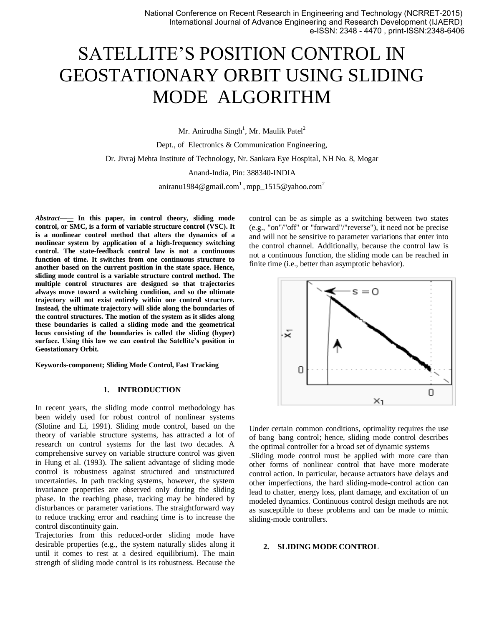# SATELLITE'S POSITION CONTROL IN GEOSTATIONARY ORBIT USING SLIDING MODE ALGORITHM

Mr. Anirudha Singh<sup>1</sup>, Mr. Maulik Patel<sup>2</sup>

Dept., of Electronics & Communication Engineering, Dr. Jivraj Mehta Institute of Technology, Nr. Sankara Eye Hospital, NH No. 8, Mogar Anand-India, Pin: 388340-INDIA aniranu1984@gmail.com<sup>1</sup>, mpp\_1515@yahoo.com<sup>2</sup>

*Abstract***—***—* **In this paper, in [control theory,](http://en.wikipedia.org/wiki/Control_theory) sliding mode control, or SMC, is a form o[f variable structure control](http://en.wikipedia.org/wiki/Variable_structure_control) (VSC). It is a [nonlinear control](http://en.wikipedia.org/wiki/Nonlinear_control) method that alters the [dynamics](http://en.wikipedia.org/wiki/Dynamic_system) of a [nonlinear system](http://en.wikipedia.org/wiki/Nonlinear_system) by application of a high-frequency switching control. The [state](http://en.wikipedia.org/wiki/State_space_(controls))[-feedback](http://en.wikipedia.org/wiki/Feedback) control law is not a [continuous](http://en.wikipedia.org/wiki/Continuous_function)  [function](http://en.wikipedia.org/wiki/Continuous_function) of time. It switches from one continuous structure to another based on the current position in the state space. Hence, sliding mode control is a variable structure control method. The multiple control structures are designed so that trajectories always move toward a switching condition, and so the ultimate trajectory will not exist entirely within one control structure. Instead, the ultimate trajectory will slide along the boundaries of the control structures. The motion of the system as it slides along these boundaries is called a sliding mode and the geometrical [locus](http://en.wikipedia.org/wiki/Locus_(mathematics)) consisting of the boundaries is called the sliding (hyper) surface. Using this law we can control the Satellite's position in Geostationary Orbit***.* 

**Keywords-component; Sliding Mode Control, Fast Tracking**

### **1. INTRODUCTION**

In recent years, the sliding mode control methodology has been widely used for robust control of nonlinear systems (Slotine and Li, 1991). Sliding mode control, based on the theory of variable structure systems, has attracted a lot of research on control systems for the last two decades. A comprehensive survey on variable structure control was given in Hung et al. (1993). The salient advantage of sliding mode control is robustness against structured and unstructured uncertainties. In path tracking systems, however, the system invariance properties are observed only during the sliding phase. In the reaching phase, tracking may be hindered by disturbances or parameter variations. The straightforward way to reduce tracking error and reaching time is to increase the control discontinuity gain.

Trajectories from this reduced-order sliding mode have desirable properties (e.g., the system naturally slides along it until it comes to rest at a desired [equilibrium\)](http://en.wikipedia.org/wiki/Stationary_point). The main strength of sliding mode control is its [robustness.](http://en.wikipedia.org/wiki/Robust_control) Because the control can be as simple as a switching between two states (e.g., "on"/"off" or "forward"/"reverse"), it need not be precise and will not be sensitive to parameter variations that enter into the control channel. Additionally, because the control law is not a [continuous function,](http://en.wikipedia.org/wiki/Continuous_function) the sliding mode can be reached in finite time (i.e., better than asymptotic behavior).



Under certain common conditions, [optimality](http://en.wikipedia.org/wiki/Optimal_control) requires the use of [bang–bang control;](http://en.wikipedia.org/wiki/Bang%E2%80%93bang_control) hence, sliding mode control describes th[e optimal controller](http://en.wikipedia.org/wiki/Optimal_control) for a broad set of dynamic systems .Sliding mode control must be applied with more care than other forms of [nonlinear control](http://en.wikipedia.org/wiki/Nonlinear_control) that have more moderate control action. In particular, because actuators have delays and other imperfections, the hard sliding-mode-control action can lead to chatter, energy loss, plant damage, and excitation of un modeled dynamics. Continuous control design methods are not as susceptible to these problems and can be made to mimic sliding-mode controllers.

## **2. SLIDING MODE CONTROL**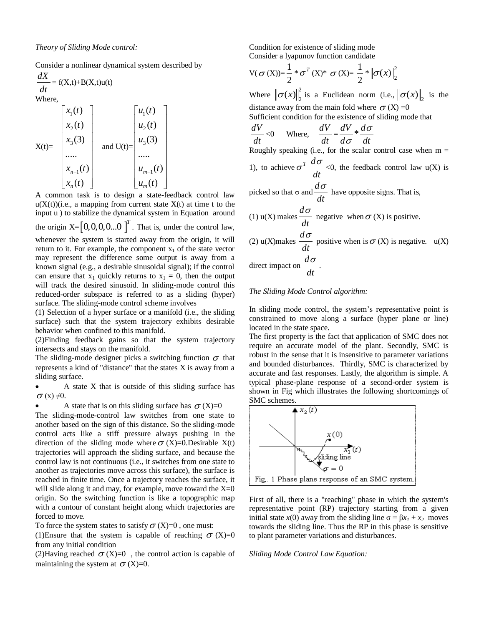Consider a [nonlinear dynamical system](http://en.wikipedia.org/wiki/Nonlinear_system) described by

$$
\frac{dX}{dt} = f(X,t) + B(X,t)u(t)
$$
  
Where

$$
X(t) = \begin{bmatrix} x_1(t) \\ x_2(t) \\ x_3(3) \\ \dots \\ x_{n-1}(t) \\ x_n(t) \end{bmatrix} \text{ and } U(t) = \begin{bmatrix} u_1(t) \\ u_2(t) \\ u_3(3) \\ \dots \\ u_{m-1}(t) \\ u_m(t) \end{bmatrix}
$$

A common task is to design a state-feedback [control law](http://en.wikipedia.org/wiki/Control_systems)  $u(X(t))$ (i.e., a mapping from current state  $X(t)$  at time t to the input u ) to [stabilize](http://en.wikipedia.org/wiki/Lyapunov_stability) the [dynamical system](http://en.wikipedia.org/wiki/Dynamical_system) in Equation around the [origin](http://en.wikipedia.org/wiki/Origin_(mathematics))  $X = \begin{bmatrix} 0, 0, 0, 0, 0 \end{bmatrix}^T$ . That is, under the control law, whenever the system is started away from the origin, it will return to it. For example, the component  $x_1$  of the state vector may represent the difference some output is away from a known signal (e.g., a desirable sinusoidal signal); if the control can ensure that  $x_1$  quickly returns to  $x_1 = 0$ , then the output will track the desired sinusoid. In sliding-mode control this reduced-order subspace is referred to as a sliding (hyper) surface. The sliding-mode control scheme involves

(1) Selection of a [hyper surface](http://en.wikipedia.org/wiki/Hypersurface) or a manifold (i.e., the sliding surface) such that the system trajectory exhibits desirable behavior when confined to this manifold.

(2)Finding feedback gains so that the system trajectory intersects and stays on the manifold.

The sliding-mode designer picks a switching function  $\sigma$  that represents a kind of "distance" that the states X is away from a sliding surface.

 A state X that is outside of this sliding surface has  $\sigma$  (x)  $\neq$ 0.

A state that is on this sliding surface has  $\sigma(X)=0$ 

The sliding-mode-control law switches from one state to another based on the sign of this distance. So the sliding-mode control acts like a stiff pressure always pushing in the direction of the sliding mode where  $\sigma$  (X)=0.Desirable X(t) trajectories will approach the sliding surface, and because the control law is not [continuous](http://en.wikipedia.org/wiki/Continuous_function) (i.e., it switches from one state to another as trajectories move across this surface), the surface is reached in finite time. Once a trajectory reaches the surface, it will slide along it and may, for example, move toward the  $X=0$ origin. So the switching function is like a [topographic map](http://en.wikipedia.org/wiki/Topographic_map) with a contour of constant height along which trajectories are forced to move.

To force the system states to satisfy  $\sigma$  (X)=0, one must:

(1)Ensure that the system is capable of reaching  $\sigma$  (X)=0 from any initial condition

(2) Having reached  $\sigma$  (X)=0, the control action is capable of maintaining the system at  $\sigma$  (X)=0.

Condition for existence of sliding mode Consider a lyapunov function candidate

$$
V(\sigma(X)) = \frac{1}{2} * \sigma^{T}(X) * \sigma(X) = \frac{1}{2} * ||\sigma(x)||_{2}^{2}
$$

Where  $\|\sigma(x)\|_2^2$  $\sigma(x)\Big\|_2^2$  is a Euclidean norm (i.e.,  $\big\|\sigma(x)\big\|_2$  is the distance away from the main fold where  $\sigma(X) = 0$ Sufficient condition for the existence of sliding mode that *dV*  $\frac{dV}{dt}$ <0 Where,  $\frac{dV}{dt}$ *dt*  $=\frac{dV}{dt}*d$ *d dt* σ σ Roughly speaking (i.e., for the [scalar](http://en.wikipedia.org/wiki/Scalar_(mathematics)) control case when  $m =$ 1), to achieve  $\sigma^T \frac{d}{dt}$ *dt*  $\frac{\sigma}{\sigma}$  <0, the feedback control law u(X) is picked so that σ and *d dt*  $\frac{\sigma}{\sigma}$  have opposite signs. That is, (1) u(X) makes *d dt*  $\frac{\sigma}{\sigma}$  negative when  $\sigma$  (X) is positive. (2) u(X)makes *d dt*  $\sigma$  positive when is  $\sigma$  (X) is negative. u(X) direct impact on *d dt*  $\frac{\sigma}{\sigma}$  .

## *The Sliding Mode Control algorithm:*

In sliding mode control, the system's representative point is constrained to move along a surface (hyper plane or line) located in the state space.

The first property is the fact that application of SMC does not require an accurate model of the plant. Secondly, SMC is robust in the sense that it is insensitive to parameter variations and bounded disturbances. Thirdly, SMC is characterized by accurate and fast responses. Lastly, the algorithm is simple. A typical phase-plane response of a second-order system is shown in Fig which illustrates the following shortcomings of SMC schemes.



First of all, there is a "reaching" phase in which the system's representative point (RP) trajectory starting from a given initial state *x*(0) away from the sliding line  $\sigma = \beta x_1 + x_2$  moves towards the sliding line. Thus the RP in this phase is sensitive to plant parameter variations and disturbances.

*Sliding Mode Control Law Equation:*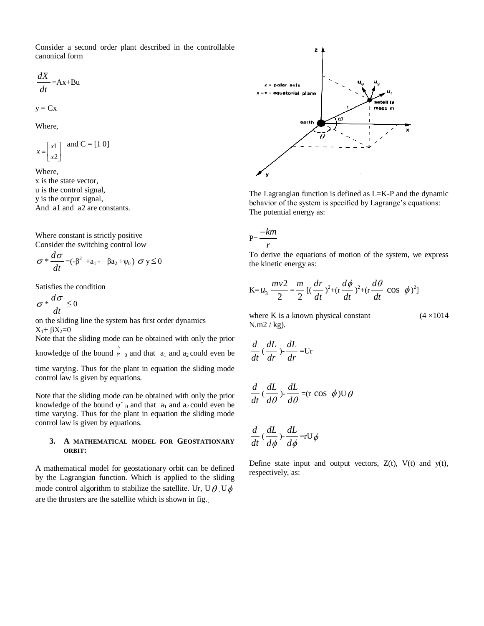Consider a second order plant described in the controllable canonical form

$$
\frac{dX}{dt} = Ax + Bu
$$

$$
\mathbf{y} = \mathbf{C} \mathbf{x}
$$

Where,

$$
x = \begin{bmatrix} x1 \\ x2 \end{bmatrix} \text{ and } C = [1 \ 0]
$$

Where, x is the state vector, u is the control signal, y is the output signal, And a1 and a2 are constants.

Where constant is strictly positive Consider the switching control low

$$
\sigma * \frac{d\sigma}{dt} = (-\beta^2 + a_1 - \beta a_2 + \psi_0) \sigma y \le 0
$$

Satisfies the condition

 $\sigma^*$ <sup> $\frac{d}{d}$ </sup> *dt*  $\frac{\sigma}{\sigma} \leq 0$ 

on the sliding line the system has first order dynamics  $X_1$ +  $\beta X_2$ =0

Note that the sliding mode can be obtained with only the prior knowledge of the bound  $\hat{w}_0$  and that  $a_1$  and  $a_2$  could even be

time varying. Thus for the plant in equation the sliding mode control law is given by equations.

Note that the sliding mode can be obtained with only the prior knowledge of the bound  $\psi$ <sup>o</sup>  $_0$  and that  $a_1$  and  $a_2$  could even be time varying. Thus for the plant in equation the sliding mode control law is given by equations.

## **3. A MATHEMATICAL MODEL FOR GEOSTATIONARY ORBIT:**

A mathematical model for geostationary orbit can be defined by the Lagrangian function. Which is applied to the sliding mode control algorithm to stabilize the satellite. Ur, U $\theta$ , U $\phi$ are the thrusters are the satellite which is shown in fig..



The Lagrangian function is defined as L=K-P and the dynamic behavior of the system is specified by Lagrange's equations: The potential energy as:

$$
P=\frac{-km}{r}
$$

To derive the equations of motion of the system, we express the kinetic energy as:

$$
K = u_3 \frac{mv^2}{2} = \frac{m}{2} [(\frac{dr}{dt})^2 + (r \frac{d\phi}{dt})^2 + (r \frac{d\theta}{dt} \cos \phi)^2]
$$

where K is a known physical constant  $(4 \times 1014)$ Ν.m2 / kg).

$$
\frac{d}{dt}(\frac{dL}{dr}) \cdot \frac{dL}{dr} = Ur
$$

$$
\frac{d}{dt}(\frac{dL}{d\theta}) - \frac{dL}{d\theta} = (\text{r cos }\phi) \cup \theta
$$

$$
\frac{d}{dt}(\frac{dL}{d\phi})\text{-}\frac{dL}{d\phi}\text{=rU}\phi
$$

Define state input and output vectors,  $Z(t)$ ,  $V(t)$  and  $y(t)$ , respectively, as: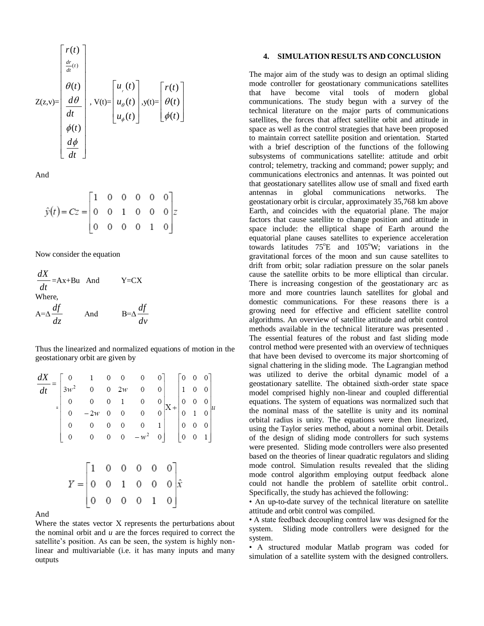$$
Z(z,v) = \begin{bmatrix} r(t) \\ \frac{dr}{dt}(t) \\ \frac{d\theta}{dt} \\ \frac{d\theta}{dt} \\ \phi(t) \\ \frac{d\phi}{dt} \end{bmatrix}, V(t) = \begin{bmatrix} u_{,}(t) \\ u_{\theta}(t) \\ u_{\phi}(t) \end{bmatrix}, y(t) = \begin{bmatrix} r(t) \\ \theta(t) \\ \phi(t) \end{bmatrix}
$$

And

$$
\hat{y}(t) = Cz = \begin{bmatrix} 1 & 0 & 0 & 0 & 0 & 0 \\ 0 & 0 & 1 & 0 & 0 & 0 \\ 0 & 0 & 0 & 0 & 1 & 0 \end{bmatrix} z
$$

Now consider the equation

$$
\frac{dX}{dt} = Ax + Bu \text{ And } Y = CX
$$
  
Where,  

$$
A = \Delta \frac{df}{dz} \text{ And } B = \Delta \frac{df}{dv}
$$

Thus the linearized and normalized equations of motion in the geostationary orbit are given by

| $\frac{dX}{dt} = \begin{bmatrix} 0 & 1 & 0 & 0 & 0 & 0 \\ 3w^2 & 0 & 0 & 2w & 0 & 0 \\ 0 & 0 & 0 & 1 & 0 & 0 \\ 0 & -2w & 0 & 0 & 0 & 0 \\ 0 & 0 & 0 & 0 & 0 & 1 \end{bmatrix} \begin{bmatrix} 0 & 0 & 0 \\ 1 & 0 & 0 \\ 0 & 0 & 0 \\ 0 & 1 & 0 \\ 0 & 0 & 0 \end{bmatrix} u$ |                                                                                                                     |  |  |  |  |  |
|-------------------------------------------------------------------------------------------------------------------------------------------------------------------------------------------------------------------------------------------------------------------------------|---------------------------------------------------------------------------------------------------------------------|--|--|--|--|--|
|                                                                                                                                                                                                                                                                               |                                                                                                                     |  |  |  |  |  |
|                                                                                                                                                                                                                                                                               |                                                                                                                     |  |  |  |  |  |
|                                                                                                                                                                                                                                                                               |                                                                                                                     |  |  |  |  |  |
|                                                                                                                                                                                                                                                                               |                                                                                                                     |  |  |  |  |  |
|                                                                                                                                                                                                                                                                               |                                                                                                                     |  |  |  |  |  |
|                                                                                                                                                                                                                                                                               |                                                                                                                     |  |  |  |  |  |
|                                                                                                                                                                                                                                                                               |                                                                                                                     |  |  |  |  |  |
|                                                                                                                                                                                                                                                                               | $Y = \begin{bmatrix} 1 & 0 & 0 & 0 & 0 & 0 \\ 0 & 0 & 1 & 0 & 0 & 0 \\ 0 & 0 & 0 & 0 & 1 & 0 \end{bmatrix} \hat{x}$ |  |  |  |  |  |

#### And

Where the states vector X represents the perturbations about the nominal orbit and *u* are the forces required to correct the satellite's position. As can be seen, the system is highly nonlinear and multivariable (i.e. it has many inputs and many outputs

## **4. SIMULATION RESULTS AND CONCLUSION**

The major aim of the study was to design an optimal sliding mode controller for geostationary communications satellites that have become vital tools of modern global communications. The study begun with a survey of the technical literature on the major parts of communications satellites, the forces that affect satellite orbit and attitude in space as well as the control strategies that have been proposed to maintain correct satellite position and orientation. Started with a brief description of the functions of the following subsystems of communications satellite: attitude and orbit control; telemetry, tracking and command; power supply; and communications electronics and antennas. It was pointed out that geostationary satellites allow use of small and fixed earth antennas in global communications networks. The geostationary orbit is circular, approximately 35,768 km above Earth, and coincides with the equatorial plane. The major factors that cause satellite to change position and attitude in space include: the elliptical shape of Earth around the equatorial plane causes satellites to experience acceleration towards latitudes  $75^{\circ}E$  and  $105^{\circ}W$ ; variations in the gravitational forces of the moon and sun cause satellites to drift from orbit; solar radiation pressure on the solar panels cause the satellite orbits to be more elliptical than circular. There is increasing congestion of the geostationary arc as more and more countries launch satellites for global and domestic communications. For these reasons there is a growing need for effective and efficient satellite control algorithms. An overview of satellite attitude and orbit control methods available in the technical literature was presented . The essential features of the robust and fast sliding mode control method were presented with an overview of techniques that have been devised to overcome its major shortcoming of signal chattering in the sliding mode. The Lagrangian method was utilized to derive the orbital dynamic model of a geostationary satellite. The obtained sixth-order state space model comprised highly non-linear and coupled differential equations. The system of equations was normalized such that the nominal mass of the satellite is unity and its nominal orbital radius is unity. The equations were then linearized, using the Taylor series method, about a nominal orbit. Details of the design of sliding mode controllers for such systems were presented. Sliding mode controllers were also presented based on the theories of linear quadratic regulators and sliding mode control. Simulation results revealed that the sliding mode control algorithm employing output feedback alone could not handle the problem of satellite orbit control.. Specifically, the study has achieved the following:

• An up-to-date survey of the technical literature on satellite attitude and orbit control was compiled.

• A state feedback decoupling control law was designed for the system. Sliding mode controllers were designed for the system.

• A structured modular Matlab program was coded for simulation of a satellite system with the designed controllers.